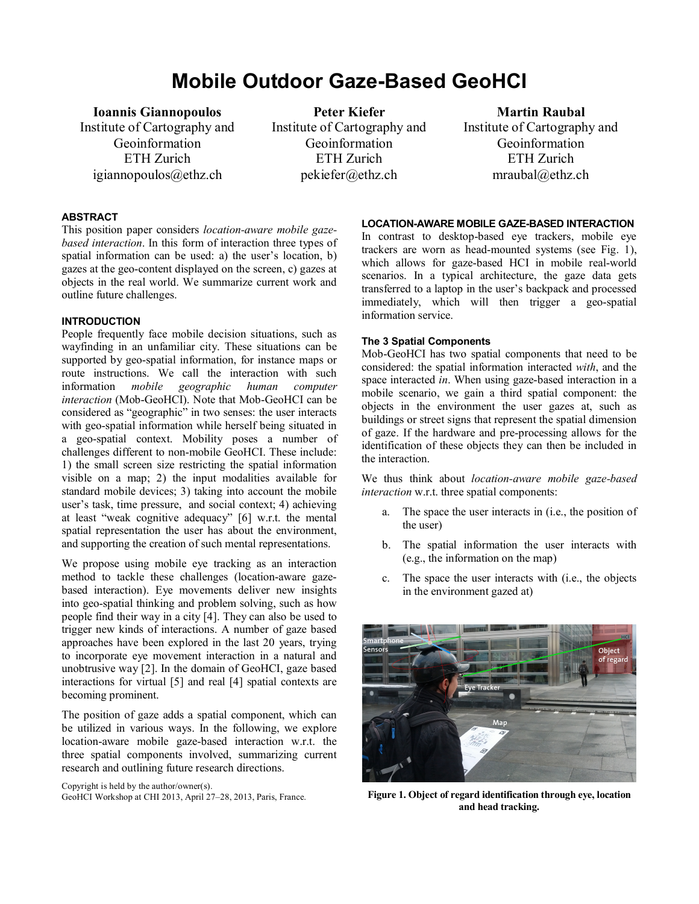# **Mobile Outdoor Gaze-Based GeoHCI**

**Ioannis Giannopoulos** Institute of Cartography and Geoinformation ETH Zurich igiannopoulos@ethz.ch

**Peter Kiefer** Institute of Cartography and Geoinformation ETH Zurich pekiefer@ethz.ch

**Martin Raubal** Institute of Cartography and Geoinformation ETH Zurich mraubal@ethz.ch

## **ABSTRACT**

This position paper considers *location-aware mobile gazebased interaction*. In this form of interaction three types of spatial information can be used: a) the user's location, b) gazes at the geo-content displayed on the screen, c) gazes at objects in the real world. We summarize current work and outline future challenges.

# **INTRODUCTION**

People frequently face mobile decision situations, such as wayfinding in an unfamiliar city. These situations can be supported by geo-spatial information, for instance maps or route instructions. We call the interaction with such information *mobile geographic human computer* information *mobile geographic human computer interaction* (Mob-GeoHCI). Note that Mob-GeoHCI can be considered as "geographic" in two senses: the user interacts with geo-spatial information while herself being situated in a geo-spatial context. Mobility poses a number of challenges different to non-mobile GeoHCI. These include: 1) the small screen size restricting the spatial information visible on a map; 2) the input modalities available for standard mobile devices; 3) taking into account the mobile user's task, time pressure, and social context; 4) achieving at least "weak cognitive adequacy" [\[6\]](#page-1-0) w.r.t. the mental spatial representation the user has about the environment, and supporting the creation of such mental representations.

We propose using mobile eye tracking as an interaction method to tackle these challenges (location-aware gazebased interaction). Eye movements deliver new insights into geo-spatial thinking and problem solving, such as how people find their way in a city [\[4\]](#page-1-1). They can also be used to trigger new kinds of interactions. A number of gaze based approaches have been explored in the last 20 years, trying to incorporate eye movement interaction in a natural and unobtrusive way [\[2\]](#page-1-2). In the domain of GeoHCI, gaze based interactions for virtual [\[5\]](#page-1-3) and real [\[4\]](#page-1-1) spatial contexts are becoming prominent.

The position of gaze adds a spatial component, which can be utilized in various ways. In the following, we explore location-aware mobile gaze-based interaction w.r.t. the three spatial components involved, summarizing current research and outlining future research directions.

Copyright is held by the author/owner(s).

GeoHCI Workshop at CHI 2013, April 27–28, 2013, Paris, France.

#### **LOCATION-AWARE MOBILE GAZE-BASED INTERACTION**

In contrast to desktop-based eye trackers, mobile eye trackers are worn as head-mounted systems (see Fig. 1), which allows for gaze-based HCI in mobile real-world scenarios. In a typical architecture, the gaze data gets transferred to a laptop in the user's backpack and processed immediately, which will then trigger a geo-spatial information service.

# **The 3 Spatial Components**

Mob-GeoHCI has two spatial components that need to be considered: the spatial information interacted *with*, and the space interacted *in*. When using gaze-based interaction in a mobile scenario, we gain a third spatial component: the objects in the environment the user gazes at, such as buildings or street signs that represent the spatial dimension of gaze. If the hardware and pre-processing allows for the identification of these objects they can then be included in the interaction.

We thus think about *location-aware mobile gaze-based interaction* w.r.t. three spatial components:

- a. The space the user interacts in (i.e., the position of the user)
- b. The spatial information the user interacts with (e.g., the information on the map)
- c. The space the user interacts with (i.e., the objects in the environment gazed at)



**Figure 1. Object of regard identification through eye, location and head tracking.**